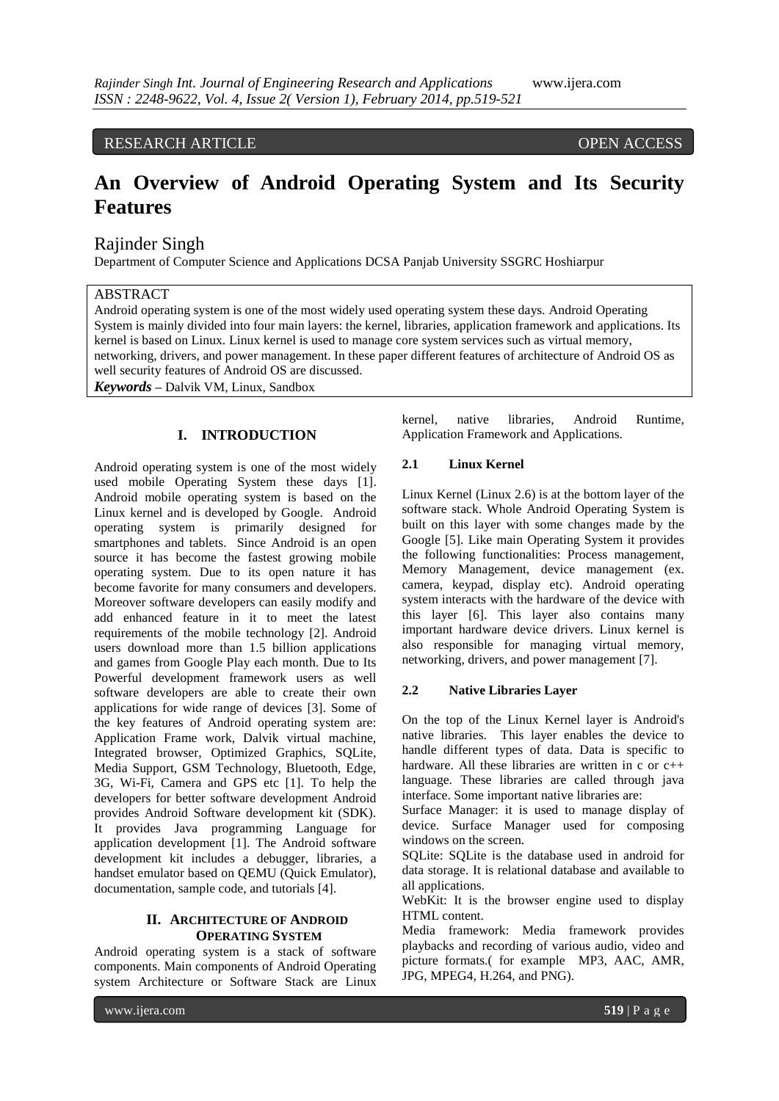#### RESEARCH ARTICLE OPEN ACCESS

# **An Overview of Android Operating System and Its Security Features**

## Rajinder Singh

Department of Computer Science and Applications DCSA Panjab University SSGRC Hoshiarpur

## ABSTRACT

Android operating system is one of the most widely used operating system these days. Android Operating System is mainly divided into four main layers: the kernel, libraries, application framework and applications. Its kernel is based on Linux. Linux kernel is used to manage core system services such as virtual memory, networking, drivers, and power management. In these paper different features of architecture of Android OS as well security features of Android OS are discussed.

*Keywords* **–** Dalvik VM, Linux, Sandbox

## **I. INTRODUCTION**

Android operating system is one of the most widely used mobile Operating System these days [1]. Android mobile operating system is based on the Linux kernel and is developed by Google. Android operating system is primarily designed for smartphones and tablets. Since Android is an open source it has become the fastest growing mobile operating system. Due to its open nature it has become favorite for many consumers and developers. Moreover software developers can easily modify and add enhanced feature in it to meet the latest requirements of the mobile technology [2]. Android users download more than 1.5 billion applications and games from Google Play each month. Due to Its Powerful development framework users as well software developers are able to create their own applications for wide range of devices [3]. Some of the key features of Android operating system are: Application Frame work, Dalvik virtual machine, Integrated browser, Optimized Graphics, SQLite, Media Support, GSM Technology, Bluetooth, Edge, 3G, Wi-Fi, Camera and GPS etc [1]. To help the developers for better software development Android provides Android Software development kit (SDK). It provides Java programming Language for application development [1]. The Android software development kit includes a debugger, libraries, a handset emulator based on QEMU (Quick Emulator), documentation, sample code, and tutorials [4].

#### **II. ARCHITECTURE OF ANDROID OPERATING SYSTEM**

Android operating system is a stack of software components. Main components of Android Operating system Architecture or Software Stack are Linux kernel, native libraries, Android Runtime, Application Framework and Applications.

#### **2.1 Linux Kernel**

Linux Kernel (Linux 2.6) is at the bottom layer of the software stack. Whole Android Operating System is built on this layer with some changes made by the Google [5]. Like main Operating System it provides the following functionalities: Process management, Memory Management, device management (ex. camera, keypad, display etc). Android operating system interacts with the hardware of the device with this layer [6]. This layer also contains many important hardware device drivers. Linux kernel is also responsible for managing virtual memory, networking, drivers, and power management [7].

#### **2.2 Native Libraries Layer**

On the top of the Linux Kernel layer is Android's native libraries. This layer enables the device to handle different types of data. Data is specific to hardware. All these libraries are written in c or c++ language. These libraries are called through java interface. Some important native libraries are:

Surface Manager: it is used to manage display of device. Surface Manager used for composing windows on the screen.

SQLite: SQLite is the database used in android for data storage. It is relational database and available to all applications.

WebKit: It is the browser engine used to display HTML content.

Media framework: Media framework provides playbacks and recording of various audio, video and picture formats.( for example MP3, AAC, AMR, JPG, MPEG4, H.264, and PNG).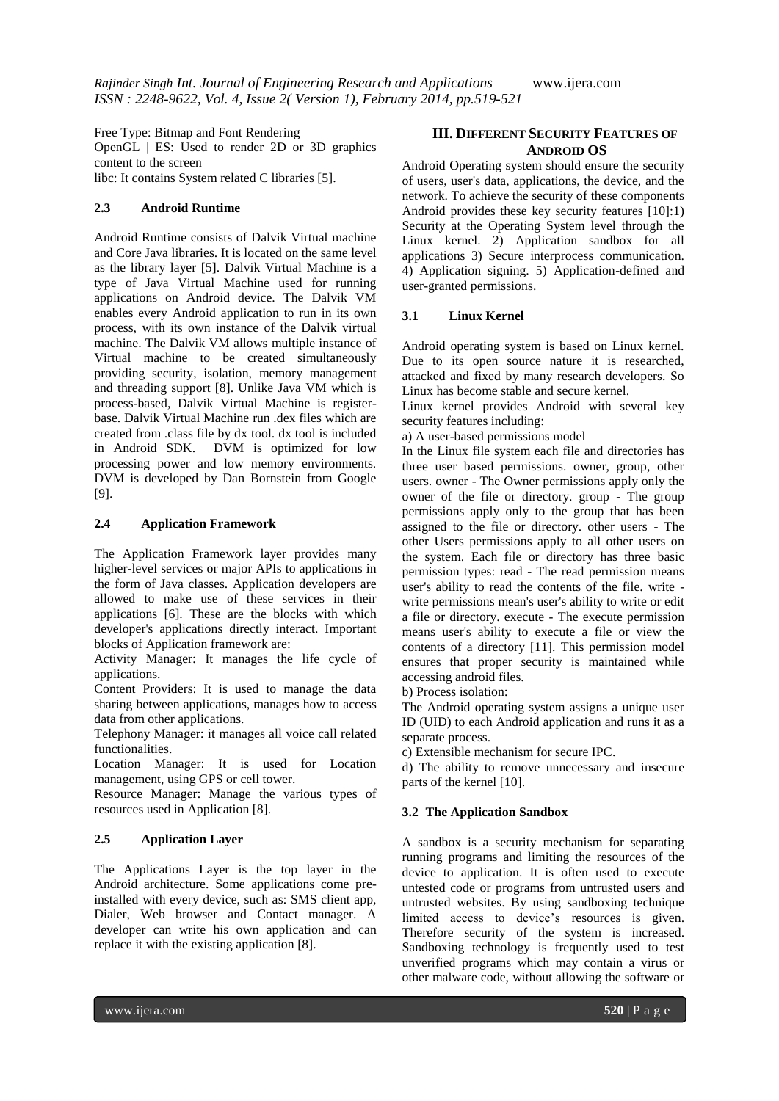Free Type: Bitmap and Font Rendering OpenGL | ES: Used to render 2D or 3D graphics content to the screen libc: It contains System related C libraries [5].

## **2.3 Android Runtime**

Android Runtime consists of Dalvik Virtual machine and Core Java libraries. It is located on the same level as the library layer [5]. Dalvik Virtual Machine is a type of Java Virtual Machine used for running applications on Android device. The Dalvik VM enables every Android application to run in its own process, with its own instance of the Dalvik virtual machine. The Dalvik VM allows multiple instance of Virtual machine to be created simultaneously providing security, isolation, memory management and threading support [8]. Unlike Java VM which is process-based, Dalvik Virtual Machine is registerbase. Dalvik Virtual Machine run .dex files which are created from .class file by dx tool. dx tool is included in Android SDK. DVM is optimized for low processing power and low memory environments. DVM is developed by Dan Bornstein from Google [9].

## **2.4 Application Framework**

The Application Framework layer provides many higher-level services or major APIs to applications in the form of Java classes. Application developers are allowed to make use of these services in their applications [6]. These are the blocks with which developer's applications directly interact. Important blocks of Application framework are:

Activity Manager: It manages the life cycle of applications.

Content Providers: It is used to manage the data sharing between applications, manages how to access data from other applications.

Telephony Manager: it manages all voice call related functionalities.

Location Manager: It is used for Location management, using GPS or cell tower.

Resource Manager: Manage the various types of resources used in Application [8].

## **2.5 Application Layer**

The Applications Layer is the top layer in the Android architecture. Some applications come preinstalled with every device, such as: SMS client app, Dialer, Web browser and Contact manager. A developer can write his own application and can replace it with the existing application [8].

## **III. DIFFERENT SECURITY FEATURES OF ANDROID OS**

Android Operating system should ensure the security of users, user's data, applications, the device, and the network. To achieve the security of these components Android provides these key security features [10]:1) Security at the Operating System level through the Linux kernel. 2) Application sandbox for all applications 3) Secure interprocess communication. 4) Application signing. 5) Application-defined and user-granted permissions.

## **3.1 Linux Kernel**

Android operating system is based on Linux kernel. Due to its open source nature it is researched, attacked and fixed by many research developers. So Linux has become stable and secure kernel.

Linux kernel provides Android with several key security features including:

a) A user-based permissions model

In the Linux file system each file and directories has three user based permissions. owner, group, other users. owner - The Owner permissions apply only the owner of the file or directory. group - The group permissions apply only to the group that has been assigned to the file or directory. other users - The other Users permissions apply to all other users on the system. Each file or directory has three basic permission types: read - The read permission means user's ability to read the contents of the file. write write permissions mean's user's ability to write or edit a file or directory. execute - The execute permission means user's ability to execute a file or view the contents of a directory [11]. This permission model ensures that proper security is maintained while accessing android files.

b) Process isolation:

The Android operating system assigns a unique user ID (UID) to each Android application and runs it as a separate process.

c) Extensible mechanism for secure IPC.

d) The ability to remove unnecessary and insecure parts of the kernel [10].

## **3.2 The Application Sandbox**

A sandbox is a security mechanism for separating running programs and limiting the resources of the device to application. It is often used to execute untested code or programs from untrusted users and untrusted websites. By using sandboxing technique limited access to device's resources is given. Therefore security of the system is increased. Sandboxing technology is frequently used to test unverified programs which may contain a virus or other malware code, without allowing the software or